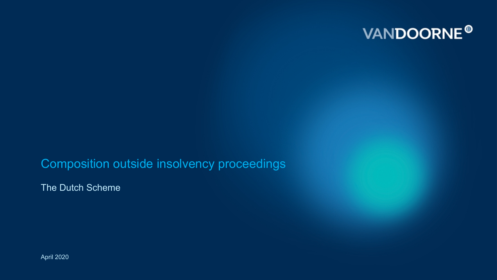

Composition outside insolvency proceedings

The Dutch Scheme

April 2020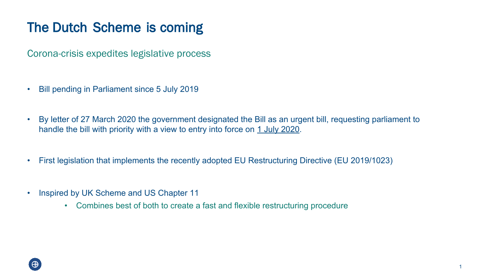### **The Dutch Scheme is coming**

Corona-crisis expedites legislative process

- Bill pending in Parliament since 5 July 2019
- By letter of 27 March 2020 the government designated the Bill as an urgent bill, requesting parliament to handle the bill with priority with a view to entry into force on 1 July 2020.
- First legislation that implements the recently adopted EU Restructuring Directive (EU 2019/1023)
- Inspired by UK Scheme and US Chapter 11
	- Combines best of both to create a fast and flexible restructuring procedure

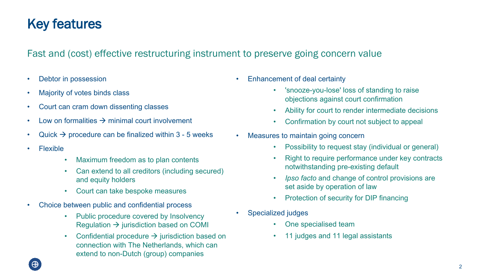### **Key features**

#### Fast and (cost) effective restructuring instrument to preserve going concern value

- Debtor in possession
- Majority of votes binds class
- Court can cram down dissenting classes
- Low on formalities  $\rightarrow$  minimal court involvement
- Quick  $\rightarrow$  procedure can be finalized within 3 5 weeks
- Flexible
	- Maximum freedom as to plan contents
	- Can extend to all creditors (including secured) and equity holders
	- Court can take bespoke measures
- Choice between public and confidential process
	- Public procedure covered by Insolvency Regulation  $\rightarrow$  jurisdiction based on COMI
	- Confidential procedure  $\rightarrow$  jurisdiction based on connection with The Netherlands, which can extend to non-Dutch (group) companies
- Enhancement of deal certainty
	- 'snooze-you-lose' loss of standing to raise objections against court confirmation
	- Ability for court to render intermediate decisions
	- Confirmation by court not subject to appeal
- Measures to maintain going concern
	- Possibility to request stay (individual or general)
	- Right to require performance under key contracts notwithstanding pre-existing default
	- *• Ipso facto* and change of control provisions are set aside by operation of law
	- Protection of security for DIP financing
- Specialized judges
	- One specialised team
	- 11 judges and 11 legal assistants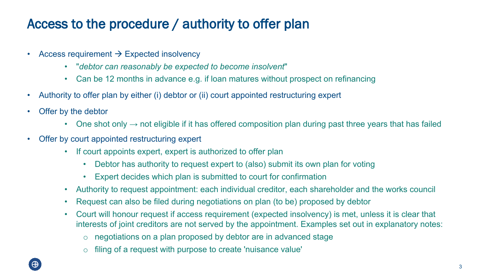### **Access to the procedure / authority to offer plan**

- Access requirement  $\rightarrow$  Expected insolvency
	- "*debtor can reasonably be expected to become insolvent*"
	- Can be 12 months in advance e.g. if loan matures without prospect on refinancing
- Authority to offer plan by either (i) debtor or (ii) court appointed restructuring expert
- Offer by the debtor
	- One shot only  $\rightarrow$  not eligible if it has offered composition plan during past three years that has failed
- Offer by court appointed restructuring expert
	- If court appoints expert, expert is authorized to offer plan
		- Debtor has authority to request expert to (also) submit its own plan for voting
		- Expert decides which plan is submitted to court for confirmation
	- Authority to request appointment: each individual creditor, each shareholder and the works council
	- Request can also be filed during negotiations on plan (to be) proposed by debtor
	- Court will honour request if access requirement (expected insolvency) is met, unless it is clear that interests of joint creditors are not served by the appointment. Examples set out in explanatory notes:
		- o negotiations on a plan proposed by debtor are in advanced stage
		- o filing of a request with purpose to create 'nuisance value'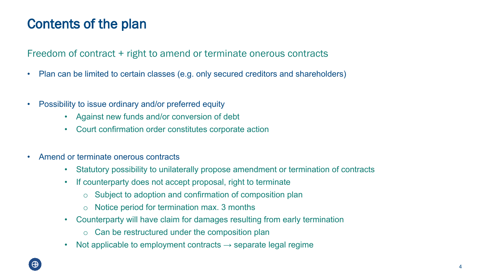### **Contents of the plan**

Freedom of contract + right to amend or terminate onerous contracts

- Plan can be limited to certain classes (e.g. only secured creditors and shareholders)
- Possibility to issue ordinary and/or preferred equity
	- Against new funds and/or conversion of debt
	- Court confirmation order constitutes corporate action
- Amend or terminate onerous contracts
	- Statutory possibility to unilaterally propose amendment or termination of contracts
	- If counterparty does not accept proposal, right to terminate
		- o Subject to adoption and confirmation of composition plan
		- o Notice period for termination max. 3 months
	- Counterparty will have claim for damages resulting from early termination
		- $\circ$  Can be restructured under the composition plan
	- Not applicable to employment contracts  $\rightarrow$  separate legal regime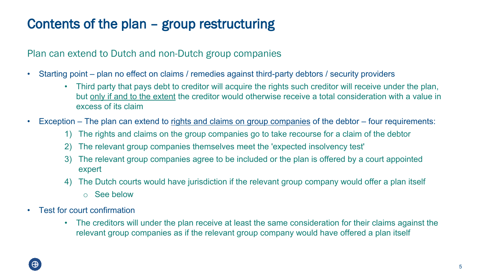### **Contents of the plan – group restructuring**

Plan can extend to Dutch and non-Dutch group companies

- Starting point plan no effect on claims / remedies against third-party debtors / security providers
	- Third party that pays debt to creditor will acquire the rights such creditor will receive under the plan, but only if and to the extent the creditor would otherwise receive a total consideration with a value in excess of its claim
- Exception The plan can extend to rights and claims on group companies of the debtor four requirements:
	- 1) The rights and claims on the group companies go to take recourse for a claim of the debtor
	- 2) The relevant group companies themselves meet the 'expected insolvency test'
	- 3) The relevant group companies agree to be included or the plan is offered by a court appointed expert
	- 4) The Dutch courts would have jurisdiction if the relevant group company would offer a plan itself
		- o See below
- Test for court confirmation
	- The creditors will under the plan receive at least the same consideration for their claims against the relevant group companies as if the relevant group company would have offered a plan itself

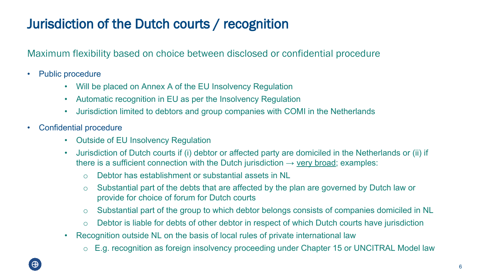### **Jurisdiction of the Dutch courts / recognition**

Maximum flexibility based on choice between disclosed or confidential procedure

- Public procedure
	- Will be placed on Annex A of the EU Insolvency Regulation
	- Automatic recognition in EU as per the Insolvency Regulation
	- Jurisdiction limited to debtors and group companies with COMI in the Netherlands
- Confidential procedure
	- Outside of EU Insolvency Regulation
	- Jurisdiction of Dutch courts if (i) debtor or affected party are domiciled in the Netherlands or (ii) if there is a sufficient connection with the Dutch jurisdiction  $\rightarrow$  very broad; examples:
		- o Debtor has establishment or substantial assets in NL
		- o Substantial part of the debts that are affected by the plan are governed by Dutch law or provide for choice of forum for Dutch courts
		- o Substantial part of the group to which debtor belongs consists of companies domiciled in NL
		- o Debtor is liable for debts of other debtor in respect of which Dutch courts have jurisdiction
	- Recognition outside NL on the basis of local rules of private international law
		- o E.g. recognition as foreign insolvency proceeding under Chapter 15 or UNCITRAL Model law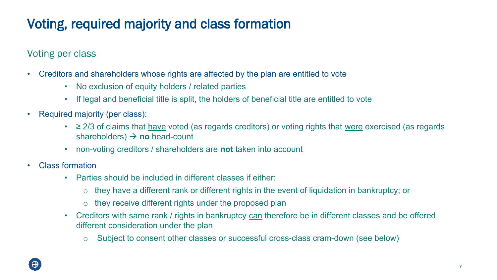# **Voting, required majority and class formation**

Voting per class

- Creditors and shareholders whose rights are affected by the plan are entitled to vote
	- No exclusion of equity holders / related parties
	- If legal and beneficial title is split, the holders of beneficial title are entitled to vote
- Required majority (per class):
	- ≥ 2/3 of claims that have voted (as regards creditors) or voting rights that were exercised (as regards shareholders)  $\rightarrow$  no head-count
	- non-voting creditors / shareholders are **not** taken into account
- Class formation
	- Parties should be included in different classes if either:
		- o they have a different rank or different rights in the event of liquidation in bankruptcy; or
		- o they receive different rights under the proposed plan
	- Creditors with same rank / rights in bankruptcy can therefore be in different classes and be offered different consideration under the plan
		- o Subject to consent other classes or successful cross-class cram-down (see below)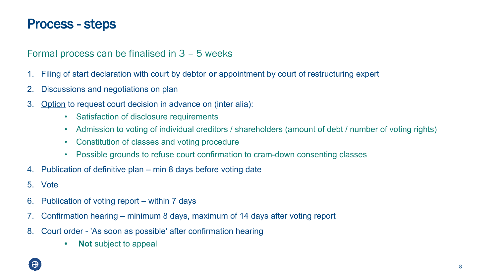### **Process - steps**

#### Formal process can be finalised in 3 – 5 weeks

- 1. Filing of start declaration with court by debtor **or** appointment by court of restructuring expert
- 2. Discussions and negotiations on plan
- 3. Option to request court decision in advance on (inter alia):
	- Satisfaction of disclosure requirements
	- Admission to voting of individual creditors / shareholders (amount of debt / number of voting rights)
	- Constitution of classes and voting procedure
	- Possible grounds to refuse court confirmation to cram-down consenting classes
- 4. Publication of definitive plan min 8 days before voting date
- 5. Vote
- 6. Publication of voting report within 7 days
- 7. Confirmation hearing minimum 8 days, maximum of 14 days after voting report
- 8. Court order 'As soon as possible' after confirmation hearing
	- **• Not** subject to appeal

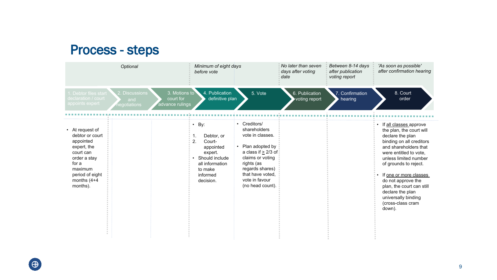#### **Process - steps**

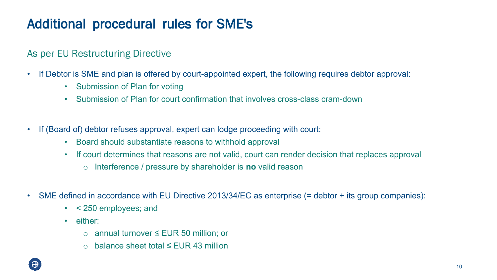### **Additional procedural rules for SME's**

#### As per EU Restructuring Directive

- If Debtor is SME and plan is offered by court-appointed expert, the following requires debtor approval:
	- Submission of Plan for voting
	- Submission of Plan for court confirmation that involves cross-class cram-down
- If (Board of) debtor refuses approval, expert can lodge proceeding with court:
	- Board should substantiate reasons to withhold approval
	- If court determines that reasons are not valid, court can render decision that replaces approval
		- o Interference / pressure by shareholder is **no** valid reason
- SME defined in accordance with EU Directive 2013/34/EC as enterprise (= debtor + its group companies):
	- < 250 employees; and
	- either:
		- o annual turnover ≤ EUR 50 million; or
		- o balance sheet total ≤ EUR 43 million

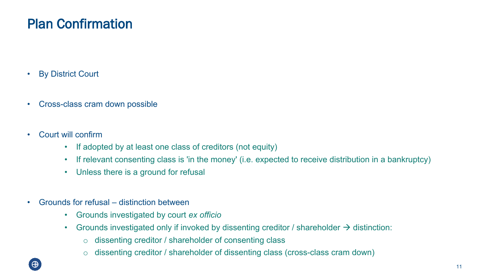### **Plan Confirmation**

- By District Court
- Cross-class cram down possible
- Court will confirm
	- If adopted by at least one class of creditors (not equity)
	- If relevant consenting class is 'in the money' (i.e. expected to receive distribution in a bankruptcy)
	- Unless there is a ground for refusal
- Grounds for refusal distinction between
	- Grounds investigated by court *ex officio*
	- Grounds investigated only if invoked by dissenting creditor / shareholder  $\rightarrow$  distinction:
		- o dissenting creditor / shareholder of consenting class
		- o dissenting creditor / shareholder of dissenting class (cross-class cram down)

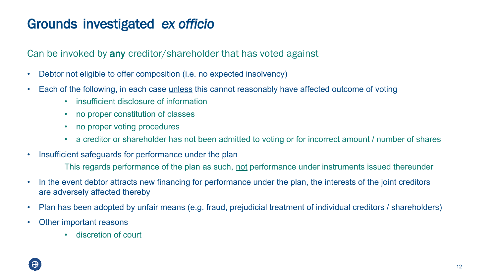### **Grounds investigated** *ex officio*

Can be invoked by **any** creditor/shareholder that has voted against

- Debtor not eligible to offer composition (i.e. no expected insolvency)
- Each of the following, in each case <u>unless</u> this cannot reasonably have affected outcome of voting
	- insufficient disclosure of information
	- no proper constitution of classes
	- no proper voting procedures
	- a creditor or shareholder has not been admitted to voting or for incorrect amount / number of shares
- Insufficient safeguards for performance under the plan

This regards performance of the plan as such, not performance under instruments issued thereunder

- In the event debtor attracts new financing for performance under the plan, the interests of the joint creditors are adversely affected thereby
- Plan has been adopted by unfair means (e.g. fraud, prejudicial treatment of individual creditors / shareholders)
- Other important reasons
	- discretion of court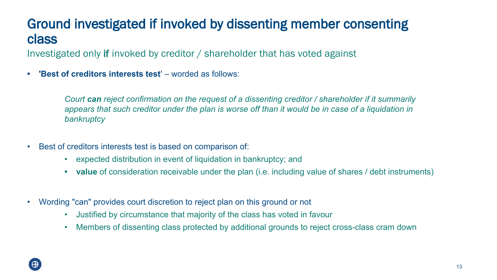### **Ground investigated if invoked by dissenting member consenting class**

Investigated only **if** invoked by creditor / shareholder that has voted against

**• 'Best of creditors interests test**' – worded as follows:

*Court can reject confirmation on the request of a dissenting creditor / shareholder if it summarily appears that such creditor under the plan is worse off than it would be in case of a liquidation in bankruptcy*

- Best of creditors interests test is based on comparison of:
	- expected distribution in event of liquidation in bankruptcy; and
	- **• value** of consideration receivable under the plan (i.e. including value of shares / debt instruments)
- Wording "can" provides court discretion to reject plan on this ground or not
	- Justified by circumstance that majority of the class has voted in favour
	- Members of dissenting class protected by additional grounds to reject cross-class cram down

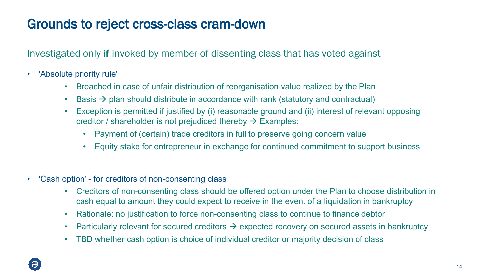### **Grounds to reject cross-class cram-down**

Investigated only **if** invoked by member of dissenting class that has voted against

- 'Absolute priority rule'
	- Breached in case of unfair distribution of reorganisation value realized by the Plan
	- Basis  $\rightarrow$  plan should distribute in accordance with rank (statutory and contractual)
	- Exception is permitted if justified by (i) reasonable ground and (ii) interest of relevant opposing creditor / shareholder is not prejudiced thereby  $\rightarrow$  Examples:
		- Payment of (certain) trade creditors in full to preserve going concern value
		- Equity stake for entrepreneur in exchange for continued commitment to support business
- 'Cash option' for creditors of non-consenting class
	- Creditors of non-consenting class should be offered option under the Plan to choose distribution in cash equal to amount they could expect to receive in the event of a liquidation in bankruptcy
	- Rationale: no justification to force non-consenting class to continue to finance debtor
	- Particularly relevant for secured creditors  $\rightarrow$  expected recovery on secured assets in bankruptcy
	- TBD whether cash option is choice of individual creditor or majority decision of class

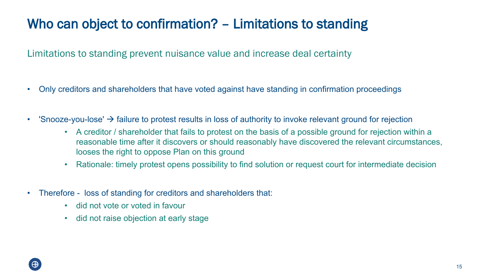# **Who can object to confirmation? – Limitations to standing**

Limitations to standing prevent nuisance value and increase deal certainty

- Only creditors and shareholders that have voted against have standing in confirmation proceedings
- 'Snooze-you-lose'  $\rightarrow$  failure to protest results in loss of authority to invoke relevant ground for rejection
	- A creditor / shareholder that fails to protest on the basis of a possible ground for rejection within a reasonable time after it discovers or should reasonably have discovered the relevant circumstances, looses the right to oppose Plan on this ground
	- Rationale: timely protest opens possibility to find solution or request court for intermediate decision
- Therefore loss of standing for creditors and shareholders that:
	- did not vote or voted in favour
	- did not raise objection at early stage

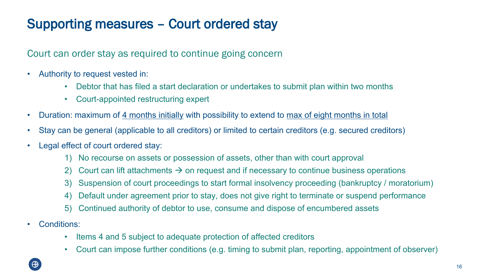# **Supporting measures – Court ordered stay**

Court can order stay as required to continue going concern

- Authority to request vested in:
	- Debtor that has filed a start declaration or undertakes to submit plan within two months
	- Court-appointed restructuring expert
- Duration: maximum of 4 months initially with possibility to extend to max of eight months in total
- Stay can be general (applicable to all creditors) or limited to certain creditors (e.g. secured creditors)
- Legal effect of court ordered stay:
	- 1) No recourse on assets or possession of assets, other than with court approval
	- 2) Court can lift attachments  $\rightarrow$  on request and if necessary to continue business operations
	- 3) Suspension of court proceedings to start formal insolvency proceeding (bankruptcy / moratorium)
	- 4) Default under agreement prior to stay, does not give right to terminate or suspend performance
	- 5) Continued authority of debtor to use, consume and dispose of encumbered assets
- Conditions:
	- Items 4 and 5 subject to adequate protection of affected creditors
	- Court can impose further conditions (e.g. timing to submit plan, reporting, appointment of observer)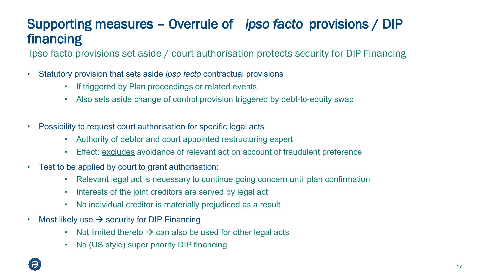### **Supporting measures – Overrule of** *ipso facto* **provisions / DIP financing**

Ipso facto provisions set aside / court authorisation protects security for DIP Financing

- Statutory provision that sets aside *ipso facto* contractual provisions
	- If triggered by Plan proceedings or related events
	- Also sets aside change of control provision triggered by debt-to-equity swap
- Possibility to request court authorisation for specific legal acts
	- Authority of debtor and court appointed restructuring expert
	- Effect: excludes avoidance of relevant act on account of fraudulent preference
- Test to be applied by court to grant authorisation:
	- Relevant legal act is necessary to continue going concern until plan confirmation
	- Interests of the joint creditors are served by legal act
	- No individual creditor is materially prejudiced as a result
- Most likely use  $\rightarrow$  security for DIP Financing
	- Not limited thereto  $\rightarrow$  can also be used for other legal acts
	- No (US style) super priority DIP financing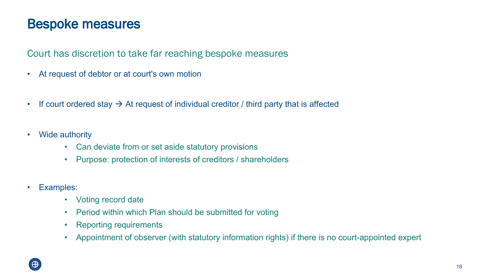### **Bespoke measures**

Court has discretion to take far reaching bespoke measures

- At request of debtor or at court's own motion
- If court ordered stay  $\rightarrow$  At request of individual creditor / third party that is affected
- Wide authority
	- Can deviate from or set aside statutory provisions
	- Purpose: protection of interests of creditors / shareholders
- Examples:
	- Voting record date
	- Period within which Plan should be submitted for voting
	- Reporting requirements
	- Appointment of observer (with statutory information rights) if there is no court-appointed expert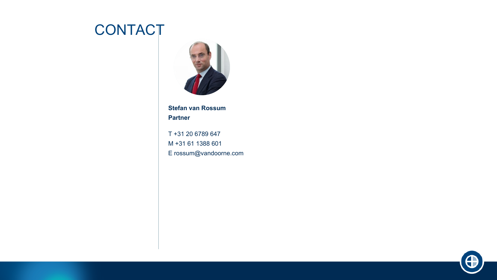# **CONTACT**



**Stefan van Rossum Partner**

T +31 20 6789 647 M +31 61 1388 601 E rossum@vandoorne.com